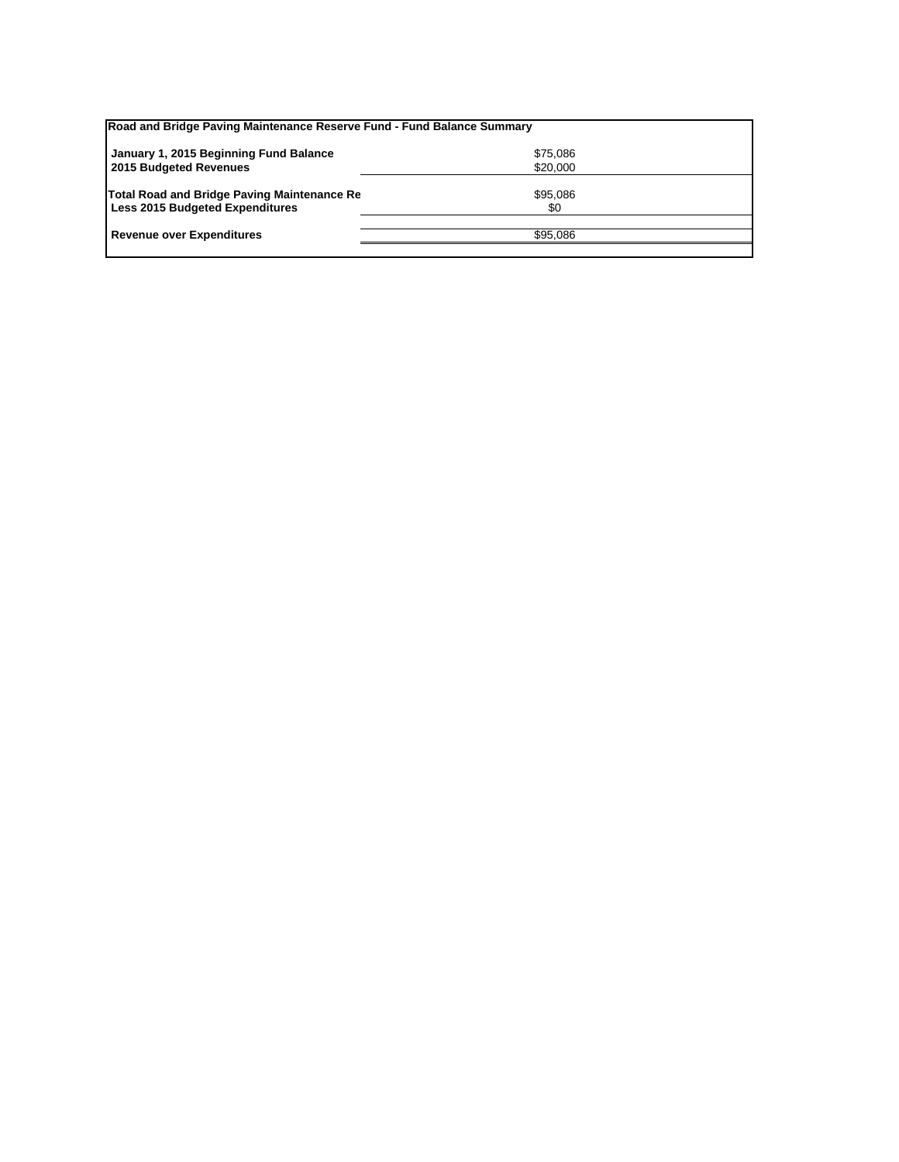| Road and Bridge Paving Maintenance Reserve Fund - Fund Balance Summary |          |  |
|------------------------------------------------------------------------|----------|--|
| January 1, 2015 Beginning Fund Balance                                 | \$75,086 |  |
| 2015 Budgeted Revenues                                                 | \$20,000 |  |
| Total Road and Bridge Paving Maintenance Re                            | \$95,086 |  |
| <b>Less 2015 Budgeted Expenditures</b>                                 | \$0      |  |
| <b>Revenue over Expenditures</b>                                       | \$95.086 |  |
|                                                                        |          |  |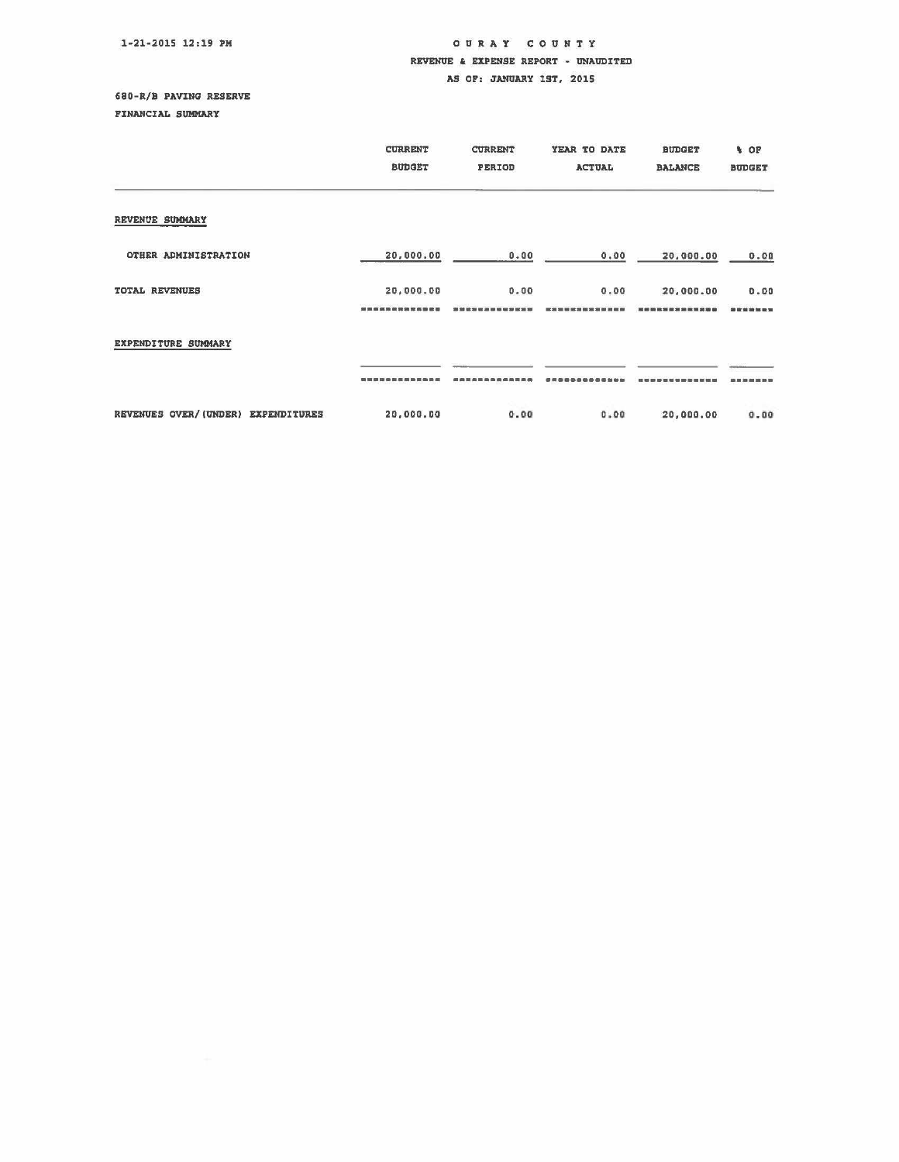#### 1-21-2015 12:19 PM

### OUR A Y COUNTY REVENUE & EXPENSE REPORT - UNAUDITED AS OP: JANUARY 1ST, 2015

### 680-R/B PAVING RESERVE

PINANCIAL SUMMARY

|                                    | <b>CURRENT</b><br><b>BUDGET</b> | <b>CURRENT</b><br>PERIOD | YEAR TO DATE<br><b>ACTUAL</b> | <b>BUDGET</b><br><b>BALANCE</b> | <b>A</b> OF<br><b>BUDGET</b> |
|------------------------------------|---------------------------------|--------------------------|-------------------------------|---------------------------------|------------------------------|
| REVENUE SUMMARY                    |                                 |                          |                               |                                 |                              |
| OTHER ADMINISTRATION               | 20,000.00                       | 0.00                     | 0.00                          | 20,000.00                       | 0.00                         |
| TOTAL REVENUES                     | 20,000.00<br>                   | 0.00                     | 0.00                          | 20,000.00<br>----------         | 0.00<br>需收益若年未定              |
| EXPENDITURE SUMMARY                |                                 |                          |                               |                                 |                              |
|                                    |                                 |                          |                               |                                 |                              |
| REVENUES OVER/(UNDER) EXPENDITURES | 20,000.00                       | 0.00                     | 0.00                          | 20,000,00                       | 0.00                         |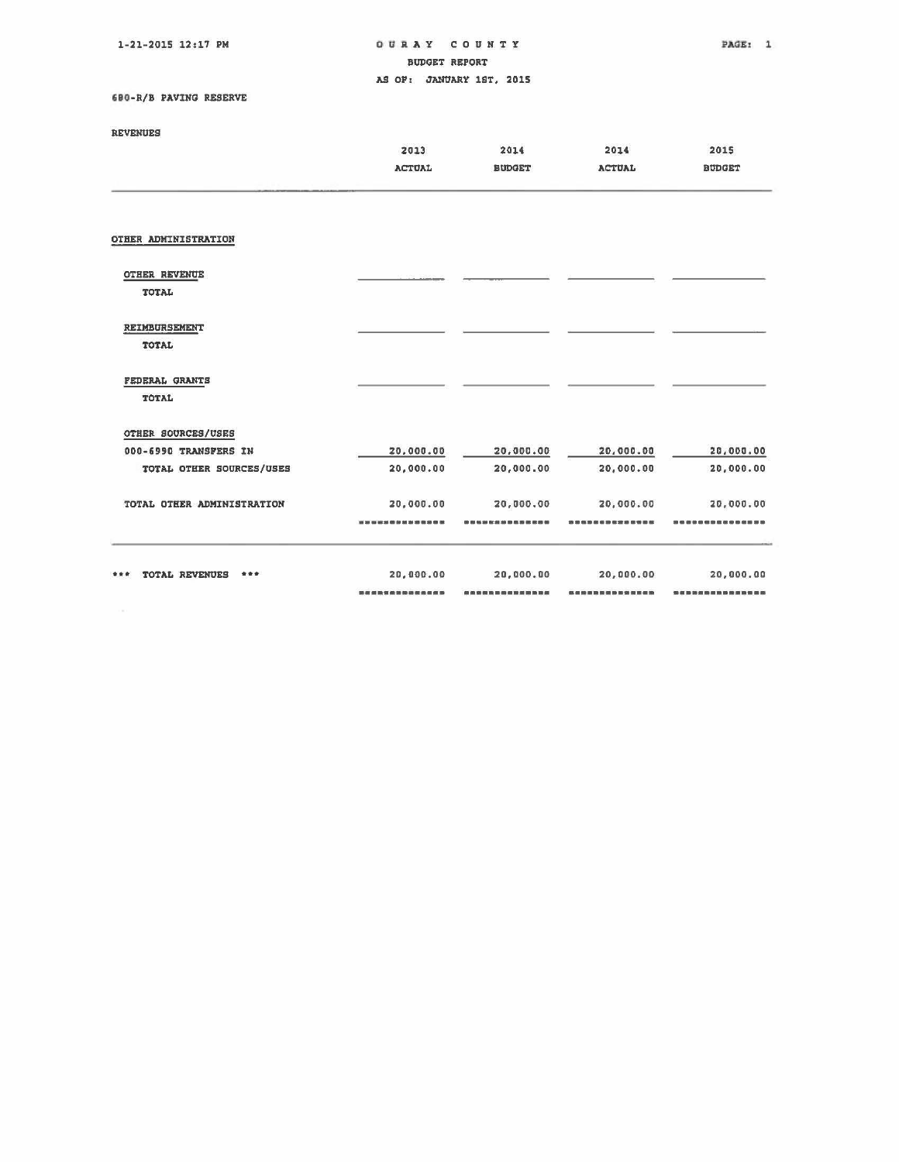1-21-2015 12:17 PM

## OURAY COUNTY THE PAGE: 1 BUDGET REPORT AS OF: JANUARY 1ST, 2015

'IO-R/B PAVING RESERVE

# REVENUES

| **** <i>*****</i> **       |               |               |               |               |
|----------------------------|---------------|---------------|---------------|---------------|
|                            | 2013          | 2014          | 2014          | 2015          |
|                            | <b>ACTUAL</b> | <b>BUDGET</b> | <b>ACTUAL</b> | <b>BUDGET</b> |
|                            |               |               |               |               |
| OTHER ADMINISTRATION       |               |               |               |               |
|                            |               |               |               |               |
| <b>OTHER REVENUE</b>       |               |               |               |               |
| TOTAL                      |               |               |               |               |
| <b>REIMBURSEMENT</b>       |               |               |               |               |
| TOTAL                      |               |               |               |               |
| <b>FEDERAL GRANTS</b>      |               |               |               |               |
| TOTAL                      |               |               |               |               |
| OTHER SOURCES/USES         |               |               |               |               |
| 000-6990 TRANSFERS IN      | 20,000.00     | 20,000.00     | 20,000.00     | 20,000.00     |
| TOTAL OTHER SOURCES/USES   | 20,000.00     | 20,000.00     | 20,000.00     | 20,000.00     |
| TOTAL OTHER ADMINISTRATION | 20,000.00     | 20,000.00     | 20,000.00     | 20,000.00     |
|                            |               |               |               |               |
|                            |               |               |               |               |
| TOTAL REVENUES<br>***      | 20,000.00     | 20,000.00     | 20,000,00     | 20,000.00     |
|                            |               |               |               |               |